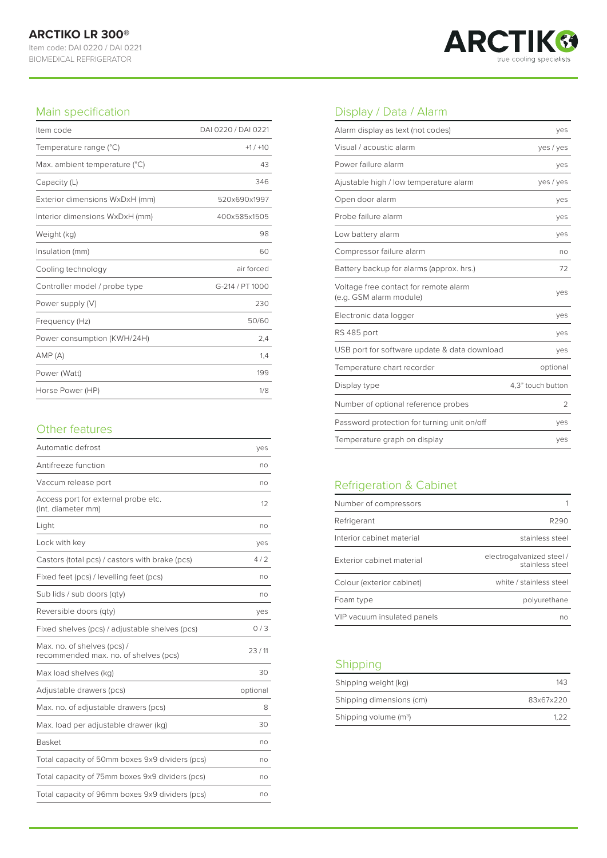

#### Main specification

| Item code                      | DAI 0220 / DAI 0221 |
|--------------------------------|---------------------|
| Temperature range (°C)         | $+1/+10$            |
| Max. ambient temperature (°C)  | 43                  |
| Capacity (L)                   | 346                 |
| Exterior dimensions WxDxH (mm) | 520x690x1997        |
| Interior dimensions WxDxH (mm) | 400x585x1505        |
| Weight (kg)                    | 98                  |
| Insulation (mm)                | 60                  |
| Cooling technology             | air forced          |
| Controller model / probe type  | G-214 / PT 1000     |
| Power supply (V)               | 230                 |
| Frequency (Hz)                 | 50/60               |
| Power consumption (KWH/24H)    | 2,4                 |
| AMP(A)                         | 1,4                 |
| Power (Watt)                   | 199                 |
| Horse Power (HP)               | 1/8                 |

## Other features

| Automatic defrost                                                    | yes      |
|----------------------------------------------------------------------|----------|
| Antifreeze function                                                  | no       |
| Vaccum release port                                                  | no       |
| Access port for external probe etc.<br>(Int. diameter mm)            | $12^{1}$ |
| Light                                                                | no       |
| Lock with key                                                        | yes      |
| Castors (total pcs) / castors with brake (pcs)                       | 4/2      |
| Fixed feet (pcs) / levelling feet (pcs)                              | no       |
| Sub lids / sub doors (qty)                                           | no       |
| Reversible doors (qty)                                               | yes      |
| Fixed shelves (pcs) / adjustable shelves (pcs)                       | 0/3      |
| Max. no. of shelves (pcs) /<br>recommended max. no. of shelves (pcs) | 23/11    |
| Max load shelves (kg)                                                | 30       |
| Adjustable drawers (pcs)                                             | optional |
| Max. no. of adjustable drawers (pcs)                                 | 8        |
| Max. load per adjustable drawer (kg)                                 | 30       |
| <b>Basket</b>                                                        | no       |
| Total capacity of 50mm boxes 9x9 dividers (pcs)                      | no       |
| Total capacity of 75mm boxes 9x9 dividers (pcs)                      | no       |
| Total capacity of 96mm boxes 9x9 dividers (pcs)                      | no       |

## Display / Data / Alarm

| Alarm display as text (not codes)                                | yes               |
|------------------------------------------------------------------|-------------------|
| Visual / acoustic alarm                                          | yes / yes         |
| Power failure alarm                                              | yes               |
| Ajustable high / low temperature alarm                           | yes / yes         |
| Open door alarm                                                  | yes               |
| Probe failure alarm                                              | yes               |
| Low battery alarm                                                | yes               |
| Compressor failure alarm                                         | no                |
| Battery backup for alarms (approx. hrs.)                         | 72                |
| Voltage free contact for remote alarm<br>(e.g. GSM alarm module) | yes               |
| Electronic data logger                                           | yes               |
| RS 485 port                                                      | yes               |
| USB port for software update & data download                     | yes               |
| Temperature chart recorder                                       | optional          |
| Display type                                                     | 4.3" touch button |
| Number of optional reference probes                              | $\mathfrak{D}$    |
| Password protection for turning unit on/off                      | yes               |
| Temperature graph on display                                     | yes               |

# Refrigeration & Cabinet

| Number of compressors       |                                              |
|-----------------------------|----------------------------------------------|
| Refrigerant                 | R290                                         |
| Interior cabinet material   | stainless steel                              |
| Exterior cabinet material   | electrogalvanized steel /<br>stainless steel |
| Colour (exterior cabinet)   | white / stainless steel                      |
| Foam type                   | polyurethane                                 |
| VIP vacuum insulated panels | no                                           |

## Shipping

| Shipping weight (kg)              | 143       |
|-----------------------------------|-----------|
| Shipping dimensions (cm)          | 83x67x220 |
| Shipping volume (m <sup>3</sup> ) | 1 2 2     |